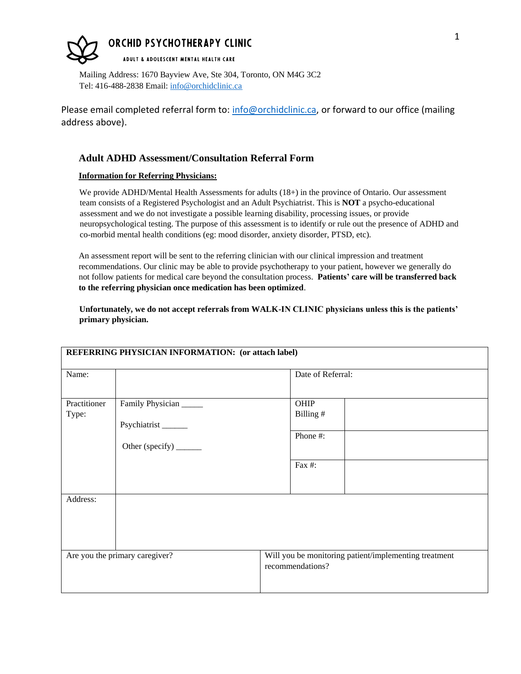## **ORCHID PSYCHOTHERAPY CLINIC**

ADULT & ADOLESCENT MENTAL HEALTH CARE

Mailing Address: 1670 Bayview Ave, Ste 304, Toronto, ON M4G 3C2 Tel: 416-488-2838 Email: [info@orchidclinic.ca](mailto:info@orchidclinic.ca)

Please email completed referral form to[: info@orchidclinic.ca,](mailto:info@orchidclinic.ca) or forward to our office (mailing address above).

### **Adult ADHD Assessment/Consultation Referral Form**

#### **Information for Referring Physicians:**

We provide ADHD/Mental Health Assessments for adults (18+) in the province of Ontario. Our assessment team consists of a Registered Psychologist and an Adult Psychiatrist. This is **NOT** a psycho-educational assessment and we do not investigate a possible learning disability, processing issues, or provide neuropsychological testing. The purpose of this assessment is to identify or rule out the presence of ADHD and co-morbid mental health conditions (eg: mood disorder, anxiety disorder, PTSD, etc).

An assessment report will be sent to the referring clinician with our clinical impression and treatment recommendations. Our clinic may be able to provide psychotherapy to your patient, however we generally do not follow patients for medical care beyond the consultation process. **Patients' care will be transferred back to the referring physician once medication has been optimized**.

**Unfortunately, we do not accept referrals from WALK-IN CLINIC physicians unless this is the patients' primary physician.**

| REFERRING PHYSICIAN INFORMATION: (or attach label) |                                                                                |                                                                           |  |  |  |
|----------------------------------------------------|--------------------------------------------------------------------------------|---------------------------------------------------------------------------|--|--|--|
| Name:                                              |                                                                                | Date of Referral:                                                         |  |  |  |
| Practitioner<br>Type:                              | Family Physician<br>Psychiatrist <sub>______</sub><br>Other (specify) ________ | OHIP<br>Billing#<br>Phone #:<br>Fax #:                                    |  |  |  |
| Address:                                           |                                                                                |                                                                           |  |  |  |
| Are you the primary caregiver?                     |                                                                                | Will you be monitoring patient/implementing treatment<br>recommendations? |  |  |  |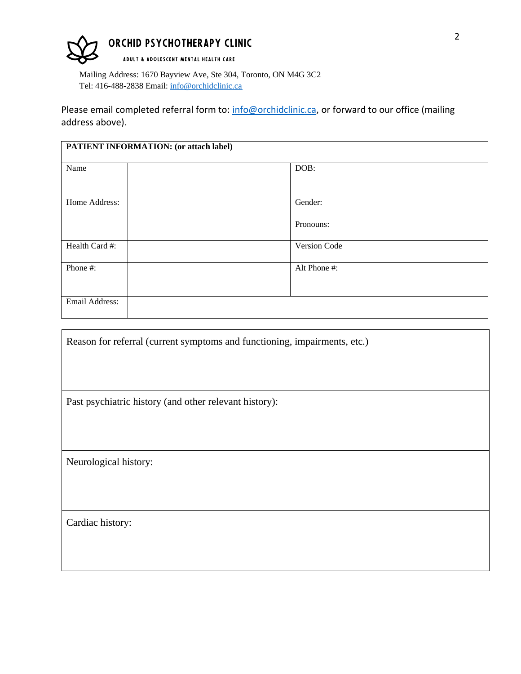# ORCHID PSYCHOTHERAPY CLINIC

ADULT & ADOLESCENT MENTAL HEALTH CARE

Mailing Address: 1670 Bayview Ave, Ste 304, Toronto, ON M4G 3C2 Tel: 416-488-2838 Email: [info@orchidclinic.ca](mailto:info@orchidclinic.ca)

Please email completed referral form to[: info@orchidclinic.ca,](mailto:info@orchidclinic.ca) or forward to our office (mailing address above).

| <b>PATIENT INFORMATION: (or attach label)</b> |              |  |  |  |
|-----------------------------------------------|--------------|--|--|--|
| Name                                          | DOB:         |  |  |  |
| Home Address:                                 | Gender:      |  |  |  |
|                                               | Pronouns:    |  |  |  |
| Health Card #:                                | Version Code |  |  |  |
| Phone #:                                      | Alt Phone #: |  |  |  |
| Email Address:                                |              |  |  |  |

Reason for referral (current symptoms and functioning, impairments, etc.)

Past psychiatric history (and other relevant history):

Neurological history:

Cardiac history: